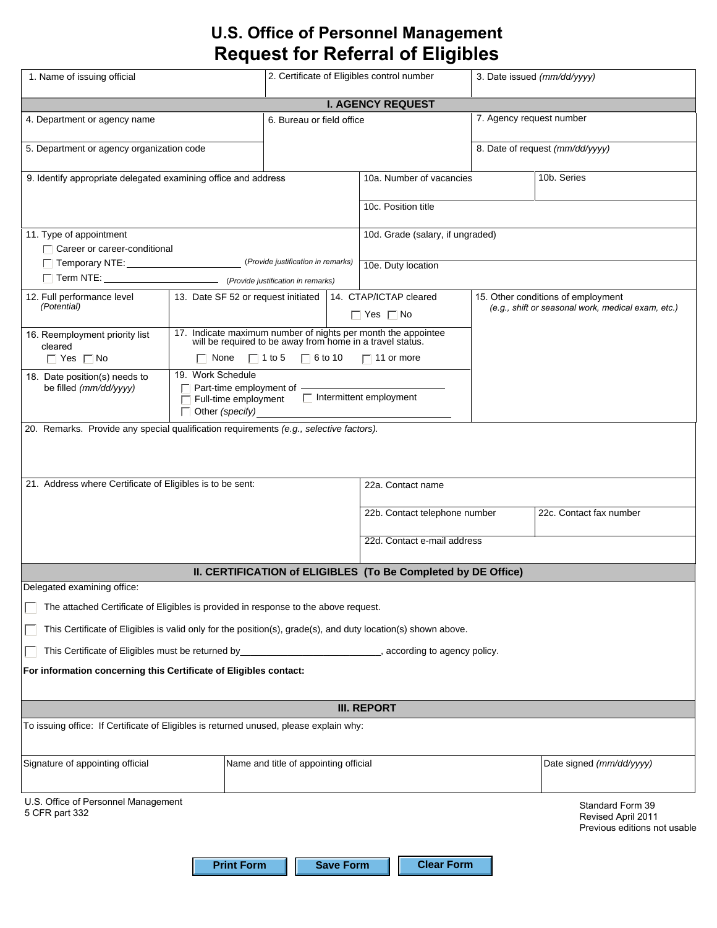## **U.S. Office of Personnel Management Request for Referral of Eligibles**

| 1. Name of issuing official                                                                                  |                                                                     | 2. Certificate of Eligibles control number                    |                                                          |                                                               | 3. Date issued (mm/dd/yyyy)                        |                                                                        |  |
|--------------------------------------------------------------------------------------------------------------|---------------------------------------------------------------------|---------------------------------------------------------------|----------------------------------------------------------|---------------------------------------------------------------|----------------------------------------------------|------------------------------------------------------------------------|--|
| <b>I. AGENCY REQUEST</b>                                                                                     |                                                                     |                                                               |                                                          |                                                               |                                                    |                                                                        |  |
| 6. Bureau or field office<br>4. Department or agency name                                                    |                                                                     | 7. Agency request number                                      |                                                          |                                                               |                                                    |                                                                        |  |
| 5. Department or agency organization code                                                                    |                                                                     |                                                               |                                                          |                                                               | 8. Date of request (mm/dd/yyyy)                    |                                                                        |  |
| 9. Identify appropriate delegated examining office and address                                               |                                                                     |                                                               | 10a. Number of vacancies                                 |                                                               | 10b. Series                                        |                                                                        |  |
|                                                                                                              |                                                                     |                                                               |                                                          | 10c. Position title                                           |                                                    |                                                                        |  |
| 11. Type of appointment                                                                                      |                                                                     |                                                               |                                                          | 10d. Grade (salary, if ungraded)                              |                                                    |                                                                        |  |
| $\Box$ Career or career-conditional                                                                          |                                                                     |                                                               |                                                          |                                                               |                                                    |                                                                        |  |
|                                                                                                              |                                                                     |                                                               |                                                          | 10e. Duty location                                            |                                                    |                                                                        |  |
| 12. Full performance level                                                                                   | 13. Date SF 52 or request initiated                                 |                                                               |                                                          | 14. CTAP/ICTAP cleared                                        |                                                    | 15. Other conditions of employment                                     |  |
| (Potential)                                                                                                  |                                                                     |                                                               |                                                          | $\Box$ Yes $\Box$ No                                          | (e.g., shift or seasonal work, medical exam, etc.) |                                                                        |  |
| 16. Reemployment priority list                                                                               |                                                                     |                                                               |                                                          | 17. Indicate maximum number of nights per month the appointee |                                                    |                                                                        |  |
| cleared                                                                                                      | will be required to be away from home in a travel status.           |                                                               |                                                          |                                                               |                                                    |                                                                        |  |
| $\Box$ Yes $\Box$ No                                                                                         | 19. Work Schedule                                                   | $\Box$ None $\Box$ 1 to 5 $\Box$ 6 to 10<br>$\Box$ 11 or more |                                                          |                                                               |                                                    |                                                                        |  |
| be filled (mm/dd/yyyy)                                                                                       | 18. Date position(s) needs to<br>$\Box$ Part-time employment of $-$ |                                                               |                                                          |                                                               |                                                    |                                                                        |  |
|                                                                                                              | Full-time employment<br>$\Box$ Other (specify)                      |                                                               |                                                          | $\Box$ Intermittent employment                                |                                                    |                                                                        |  |
| 20. Remarks. Provide any special qualification requirements (e.g., selective factors).                       |                                                                     |                                                               |                                                          |                                                               |                                                    |                                                                        |  |
|                                                                                                              |                                                                     |                                                               |                                                          |                                                               |                                                    |                                                                        |  |
|                                                                                                              |                                                                     |                                                               |                                                          |                                                               |                                                    |                                                                        |  |
| 21. Address where Certificate of Eligibles is to be sent:                                                    |                                                                     |                                                               | 22a. Contact name                                        |                                                               |                                                    |                                                                        |  |
|                                                                                                              |                                                                     |                                                               |                                                          |                                                               |                                                    |                                                                        |  |
|                                                                                                              |                                                                     |                                                               | 22c. Contact fax number<br>22b. Contact telephone number |                                                               |                                                    |                                                                        |  |
|                                                                                                              |                                                                     |                                                               | 22d. Contact e-mail address                              |                                                               |                                                    |                                                                        |  |
|                                                                                                              |                                                                     |                                                               |                                                          |                                                               |                                                    |                                                                        |  |
| II. CERTIFICATION of ELIGIBLES (To Be Completed by DE Office)                                                |                                                                     |                                                               |                                                          |                                                               |                                                    |                                                                        |  |
| Delegated examining office:                                                                                  |                                                                     |                                                               |                                                          |                                                               |                                                    |                                                                        |  |
| The attached Certificate of Eligibles is provided in response to the above request.                          |                                                                     |                                                               |                                                          |                                                               |                                                    |                                                                        |  |
| This Certificate of Eligibles is valid only for the position(s), grade(s), and duty location(s) shown above. |                                                                     |                                                               |                                                          |                                                               |                                                    |                                                                        |  |
| This Certificate of Eligibles must be returned by_<br>according to agency policy.                            |                                                                     |                                                               |                                                          |                                                               |                                                    |                                                                        |  |
| For information concerning this Certificate of Eligibles contact:                                            |                                                                     |                                                               |                                                          |                                                               |                                                    |                                                                        |  |
| <b>III. REPORT</b>                                                                                           |                                                                     |                                                               |                                                          |                                                               |                                                    |                                                                        |  |
| To issuing office: If Certificate of Eligibles is returned unused, please explain why:                       |                                                                     |                                                               |                                                          |                                                               |                                                    |                                                                        |  |
|                                                                                                              |                                                                     |                                                               |                                                          |                                                               |                                                    |                                                                        |  |
| Signature of appointing official<br>Name and title of appointing official                                    |                                                                     |                                                               |                                                          |                                                               |                                                    | Date signed (mm/dd/yyyy)                                               |  |
|                                                                                                              |                                                                     |                                                               |                                                          |                                                               |                                                    |                                                                        |  |
| U.S. Office of Personnel Management<br>5 CFR part 332                                                        |                                                                     |                                                               |                                                          |                                                               |                                                    | Standard Form 39<br>Revised April 2011<br>Previous editions not usable |  |
|                                                                                                              | <b>Print Form</b>                                                   |                                                               | <b>Save Form</b>                                         | <b>Clear Form</b>                                             |                                                    |                                                                        |  |